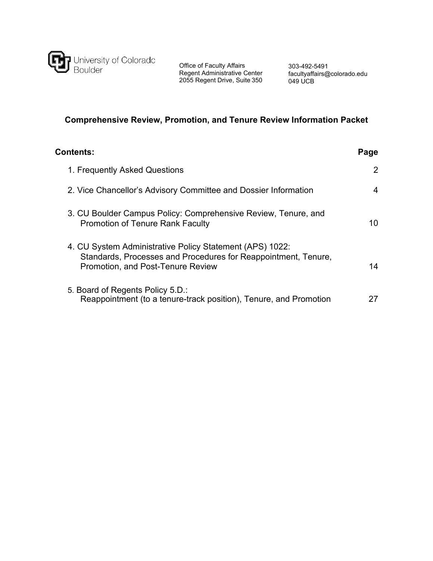

Office of Faculty Affairs Regent Administrative Center 2055 Regent Drive, Suite 350

303-492-5491 [facultyaffairs@colorado.edu](mailto:facultyaffairs@colorado.edu) 049 UCB

# **Comprehensive Review, Promotion, and Tenure Review Information Packet**

| Contents:                                                                                                                                                       | Page                  |
|-----------------------------------------------------------------------------------------------------------------------------------------------------------------|-----------------------|
| 1. Frequently Asked Questions                                                                                                                                   | $\mathbf{2}^{\prime}$ |
| 2. Vice Chancellor's Advisory Committee and Dossier Information                                                                                                 | 4                     |
| 3. CU Boulder Campus Policy: Comprehensive Review, Tenure, and<br><b>Promotion of Tenure Rank Faculty</b>                                                       | 10                    |
| 4. CU System Administrative Policy Statement (APS) 1022:<br>Standards, Processes and Procedures for Reappointment, Tenure,<br>Promotion, and Post-Tenure Review | 14                    |
| 5. Board of Regents Policy 5.D.:<br>Reappointment (to a tenure-track position), Tenure, and Promotion                                                           |                       |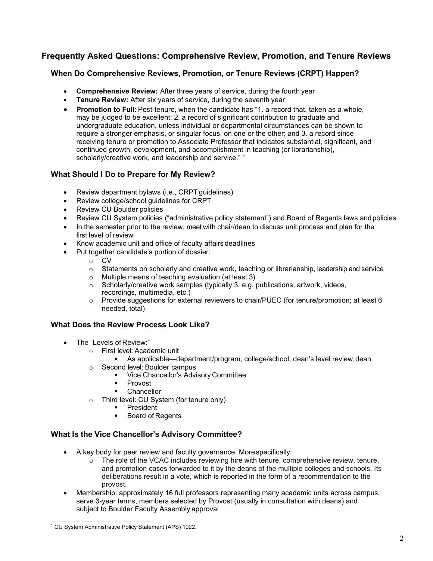# **Frequently Asked Questions: Comprehensive Review, Promotion, and Tenure Reviews**

# **When Do Comprehensive Reviews, Promotion, or Tenure Reviews (CRPT) Happen?**

- **Comprehensive Review:** After three years of service, during the fourth year
- **Tenure Review:** After six years of service, during the seventh year
- **Promotion to Full:** Post-tenure, when the candidate has "1. a record that, taken as a whole, may be judged to be excellent; 2. a record of significant contribution to graduate and undergraduate education, unless individual or departmental circumstances can be shown to require a stronger emphasis, or singular focus, on one or the other; and 3. a record since receiving tenure or promotion to Associate Professor that indicates substantial, significant, and continued growth, development, and accomplishment in teaching (or librarianship), scholarly/creative work, and leadership and service."<sup>[1](#page-1-0)</sup>

# **What Should I Do to Prepare for My Review?**

- Review department bylaws (i.e., CRPT guidelines)
- Review college/school guidelines for CRPT
- Review CU Boulder policies
- Review CU System policies ("administrative policy statement") and Board of Regents laws andpolicies
- In the semester prior to the review, meet with chair/dean to discuss unit process and plan for the first level of review
- Know academic unit and office of faculty affairs deadlines
- Put together candidate's portion of dossier:
	- o CV
	- o Statements on scholarly and creative work, teaching or librarianship, leadership and service
	- o Multiple means of teaching evaluation (at least 3)
	- o Scholarly/creative work samples (typically 3; e.g. publications, artwork, videos, recordings, multimedia, etc.)
	- o Provide suggestions for external reviewers to chair/PUEC (for tenure/promotion; at least 6 needed, total)

# **What Does the Review Process Look Like?**

- The "Levels of Review:"
	- o First level: Academic unit
		- As applicable—department/program, college/school, dean's level review,dean
	- o Second level: Boulder campus
		- **Vice Chancellor's Advisory Committee**
		- **Provost**
		- **Chancellor**
	- o Third level: CU System (for tenure only)
		- **President**
		- Board of Regents

# **What Is the Vice Chancellor's Advisory Committee?**

- A key body for peer review and faculty governance. Morespecifically:
	- $\circ$  The role of the VCAC includes reviewing hire with tenure, comprehensive review, tenure, and promotion cases forwarded to it by the deans of the multiple colleges and schools. Its deliberations result in a vote, which is reported in the form of a recommendation to the provost.
- Membership: approximately 16 full professors representing many academic units across campus; serve 3-year terms, members selected by Provost (usually in consultation with deans) and subject to Boulder Faculty Assembly approval

<span id="page-1-0"></span><sup>1</sup> CU System Administrative Policy Statement (APS) 1022.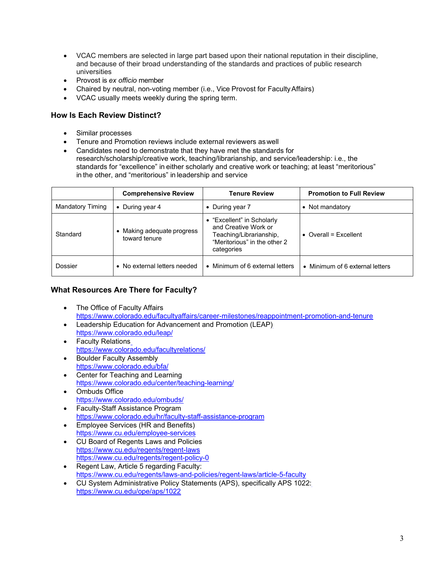- VCAC members are selected in large part based upon their national reputation in their discipline, and because of their broad understanding of the standards and practices of public research universities
- Provost is *ex officio* member
- Chaired by neutral, non-voting member (i.e., Vice Provost for FacultyAffairs)
- VCAC usually meets weekly during the spring term.

# **How Is Each Review Distinct?**

- Similar processes
- Tenure and Promotion reviews include external reviewers aswell
- Candidates need to demonstrate that they have met the standards for research/scholarship/creative work, teaching/librarianship, and service/leadership: i.e., the standards for "excellence" in either scholarly and creative work or teaching; at least "meritorious" in the other, and "meritorious" in leadership and service

|                         | <b>Comprehensive Review</b>                 | <b>Tenure Review</b>                                                                                                        | <b>Promotion to Full Review</b> |
|-------------------------|---------------------------------------------|-----------------------------------------------------------------------------------------------------------------------------|---------------------------------|
| <b>Mandatory Timing</b> | • During year $4$                           | • During year 7                                                                                                             | • Not mandatory                 |
| Standard                | • Making adequate progress<br>toward tenure | • "Excellent" in Scholarly<br>and Creative Work or<br>Teaching/Librarianship,<br>"Meritorious" in the other 2<br>categories | $\bullet$ Overall = Fxcellent   |
| Dossier                 | • No external letters needed                | • Minimum of 6 external letters                                                                                             | • Minimum of 6 external letters |

# **What Resources Are There for Faculty?**

- The Office of Faculty Affairs <https://www.colorado.edu/facultyaffairs/career-milestones/reappointment-promotion-and-tenure>
- Leadership Education for Advancement and Promotion (LEAP) <https://www.colorado.edu/leap/>
- Faculty Relation[s](https://www.colorado.edu/facultyrelations/) <https://www.colorado.edu/facultyrelations/>
- Boulder Faculty Assembly <https://www.colorado.edu/bfa/>
- Center for Teaching and Learning <https://www.colorado.edu/center/teaching-learning/>
- Ombuds Office <https://www.colorado.edu/ombuds/>
- Faculty-Staff Assistance Progra[m](https://www.colorado.edu/hr/faculty-staff-assistance-program) <https://www.colorado.edu/hr/faculty-staff-assistance-program>
- Employee Services (HR and Benefits) <https://www.cu.edu/employee-services>
- CU Board of Regents Laws and Policies https:/[/www.cu.edu/regents/regent-laws](http://www.cu.edu/regents/regent-laws) <https://www.cu.edu/regents/regent-policy-0>
- Regent Law, Article 5 regarding Faculty: [https://www.cu.edu/regents/laws-and-policies/regent-laws/article-5-faculty](https://www.cu.edu/regents/law/5#:%7E:text=(A)%20Tenured%20and%20tenure%2D,grievance%20to%20the%20Faculty%20Senate)
- CU System Administrative Policy Statements (APS), specifically APS 1022: <https://www.cu.edu/ope/aps/1022>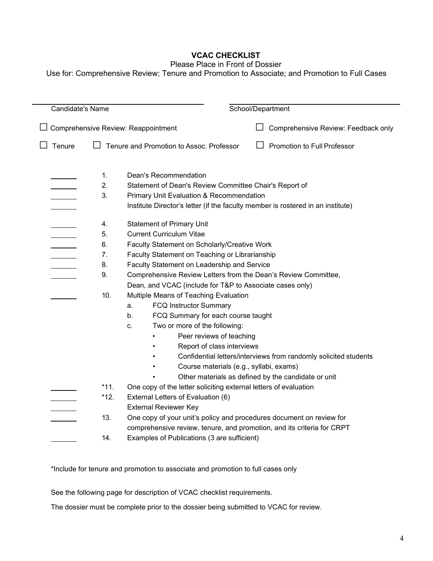# **VCAC CHECKLIST**

#### Please Place in Front of Dossier

Use for: Comprehensive Review; Tenure and Promotion to Associate; and Promotion to Full Cases

| <b>Candidate's Name</b>             |        | School/Department                                                               |
|-------------------------------------|--------|---------------------------------------------------------------------------------|
|                                     |        |                                                                                 |
| Comprehensive Review: Reappointment |        | Comprehensive Review: Feedback only                                             |
|                                     |        |                                                                                 |
| Tenure                              |        | Tenure and Promotion to Assoc. Professor<br>Promotion to Full Professor         |
|                                     |        |                                                                                 |
|                                     |        |                                                                                 |
|                                     | 1.     | <b>Dean's Recommendation</b>                                                    |
|                                     | 2.     | Statement of Dean's Review Committee Chair's Report of                          |
|                                     | 3.     | <b>Primary Unit Evaluation &amp; Recommendation</b>                             |
|                                     |        | Institute Director's letter (if the faculty member is rostered in an institute) |
|                                     | 4.     | <b>Statement of Primary Unit</b>                                                |
|                                     | 5.     | <b>Current Curriculum Vitae</b>                                                 |
|                                     | 6.     | Faculty Statement on Scholarly/Creative Work                                    |
|                                     | 7.     | Faculty Statement on Teaching or Librarianship                                  |
|                                     |        |                                                                                 |
|                                     | 8.     | Faculty Statement on Leadership and Service                                     |
|                                     | 9.     | Comprehensive Review Letters from the Dean's Review Committee,                  |
|                                     |        | Dean, and VCAC (include for T&P to Associate cases only)                        |
|                                     | 10.    | Multiple Means of Teaching Evaluation                                           |
|                                     |        | <b>FCQ Instructor Summary</b><br>a.                                             |
|                                     |        | FCQ Summary for each course taught<br>b.                                        |
|                                     |        | Two or more of the following:<br>c.                                             |
|                                     |        | Peer reviews of teaching                                                        |
|                                     |        | Report of class interviews                                                      |
|                                     |        | Confidential letters/interviews from randomly solicited students<br>$\bullet$   |
|                                     |        | Course materials (e.g., syllabi, exams)                                         |
|                                     |        | Other materials as defined by the candidate or unit                             |
|                                     | $*11.$ | One copy of the letter soliciting external letters of evaluation                |
|                                     | *12.   | External Letters of Evaluation (6)                                              |
|                                     |        | <b>External Reviewer Key</b>                                                    |
|                                     | 13.    | One copy of your unit's policy and procedures document on review for            |
|                                     |        | comprehensive review, tenure, and promotion, and its criteria for CRPT          |
|                                     | 14.    |                                                                                 |
|                                     |        | Examples of Publications (3 are sufficient)                                     |

\*Include for tenure and promotion to associate and promotion to full cases only

See the following page for description of VCAC checklist requirements.

The dossier must be complete prior to the dossier being submitted to VCAC for review.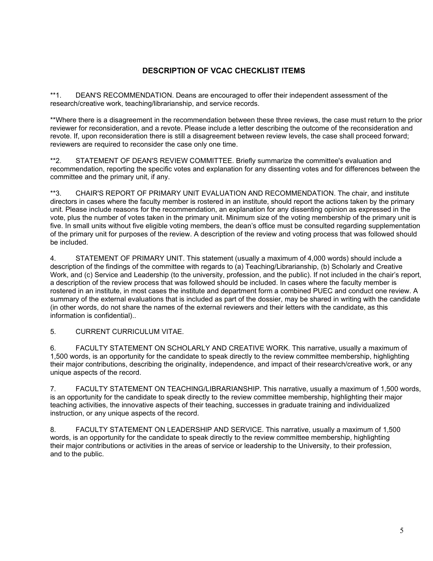# **DESCRIPTION OF VCAC CHECKLIST ITEMS**

\*\*1. DEAN'S RECOMMENDATION. Deans are encouraged to offer their independent assessment of the research/creative work, teaching/librarianship, and service records.

\*\*Where there is a disagreement in the recommendation between these three reviews, the case must return to the prior reviewer for reconsideration, and a revote. Please include a letter describing the outcome of the reconsideration and revote. If, upon reconsideration there is still a disagreement between review levels, the case shall proceed forward; reviewers are required to reconsider the case only one time.

\*\*2. STATEMENT OF DEAN'S REVIEW COMMITTEE. Briefly summarize the committee's evaluation and recommendation, reporting the specific votes and explanation for any dissenting votes and for differences between the committee and the primary unit, if any.

\*\*3. CHAIR'S REPORT OF PRIMARY UNIT EVALUATION AND RECOMMENDATION. The chair, and institute directors in cases where the faculty member is rostered in an institute, should report the actions taken by the primary unit. Please include reasons for the recommendation, an explanation for any dissenting opinion as expressed in the vote, plus the number of votes taken in the primary unit. Minimum size of the voting membership of the primary unit is five. In small units without five eligible voting members, the dean's office must be consulted regarding supplementation of the primary unit for purposes of the review. A description of the review and voting process that was followed should be included.

4. STATEMENT OF PRIMARY UNIT. This statement (usually a maximum of 4,000 words) should include a description of the findings of the committee with regards to (a) Teaching/Librarianship, (b) Scholarly and Creative Work, and (c) Service and Leadership (to the university, profession, and the public). If not included in the chair's report, a description of the review process that was followed should be included. In cases where the faculty member is rostered in an institute, in most cases the institute and department form a combined PUEC and conduct one review. A summary of the external evaluations that is included as part of the dossier, may be shared in writing with the candidate (in other words, do not share the names of the external reviewers and their letters with the candidate, as this information is confidential)..

5. CURRENT CURRICULUM VITAE.

6. FACULTY STATEMENT ON SCHOLARLY AND CREATIVE WORK. This narrative, usually a maximum of 1,500 words, is an opportunity for the candidate to speak directly to the review committee membership, highlighting their major contributions, describing the originality, independence, and impact of their research/creative work, or any unique aspects of the record.

7. FACULTY STATEMENT ON TEACHING/LIBRARIANSHIP. This narrative, usually a maximum of 1,500 words, is an opportunity for the candidate to speak directly to the review committee membership, highlighting their major teaching activities, the innovative aspects of their teaching, successes in graduate training and individualized instruction, or any unique aspects of the record.

8. FACULTY STATEMENT ON LEADERSHIP AND SERVICE. This narrative, usually a maximum of 1,500 words, is an opportunity for the candidate to speak directly to the review committee membership, highlighting their major contributions or activities in the areas of service or leadership to the University, to their profession, and to the public.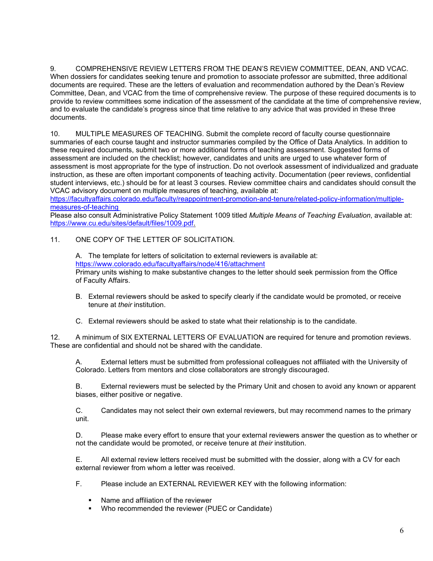9. COMPREHENSIVE REVIEW LETTERS FROM THE DEAN'S REVIEW COMMITTEE, DEAN, AND VCAC. When dossiers for candidates seeking tenure and promotion to associate professor are submitted, three additional documents are required. These are the letters of evaluation and recommendation authored by the Dean's Review Committee, Dean, and VCAC from the time of comprehensive review. The purpose of these required documents is to provide to review committees some indication of the assessment of the candidate at the time of comprehensive review, and to evaluate the candidate's progress since that time relative to any advice that was provided in these three documents.

10. MULTIPLE MEASURES OF TEACHING. Submit the complete record of faculty course questionnaire summaries of each course taught and instructor summaries compiled by the Office of Data Analytics. In addition to these required documents, submit two or more additional forms of teaching assessment. Suggested forms of assessment are included on the checklist; however, candidates and units are urged to use whatever form of assessment is most appropriate for the type of instruction. Do not overlook assessment of individualized and graduate instruction, as these are often important components of teaching activity. Documentation (peer reviews, confidential student interviews, etc.) should be for at least 3 courses. Review committee chairs and candidates should consult the VCAC advisory document on multiple measures of teaching, available at:

[https://facultyaffairs.colorado.edu/faculty/reappointment-promotion-and-tenure/related-policy-information/multiple](https://facultyaffairs.colorado.edu/faculty/reappointment-promotion-and-tenure/related-policy-information/multiple-measures-of-teaching)[measures-of-teaching](https://facultyaffairs.colorado.edu/faculty/reappointment-promotion-and-tenure/related-policy-information/multiple-measures-of-teaching)

Please also consult Administrative Policy Statement 1009 titled *Multiple Means of Teaching Evaluation*, available at: [https://www.cu.edu/sites/default/files/1009.pdf.](https://www.cu.edu/sites/default/files/1009.pdf)

# 11. ONE COPY OF THE LETTER OF SOLICITATION.

A. The template for letters of solicitation to external reviewers is available at: <https://www.colorado.edu/facultyaffairs/node/416/attachment> Primary units wishing to make substantive changes to the letter should seek permission from the Office of Faculty Affairs.

- B. External reviewers should be asked to specify clearly if the candidate would be promoted, or receive tenure at *their* institution.
- C. External reviewers should be asked to state what their relationship is to the candidate.

12. A minimum of SIX EXTERNAL LETTERS OF EVALUATION are required for tenure and promotion reviews. These are confidential and should not be shared with the candidate.

A. External letters must be submitted from professional colleagues not affiliated with the University of Colorado. Letters from mentors and close collaborators are strongly discouraged.

B. External reviewers must be selected by the Primary Unit and chosen to avoid any known or apparent biases, either positive or negative.

C. Candidates may not select their own external reviewers, but may recommend names to the primary unit.

D. Please make every effort to ensure that your external reviewers answer the question as to whether or not the candidate would be promoted, or receive tenure at *their* institution.

E. All external review letters received must be submitted with the dossier, along with a CV for each external reviewer from whom a letter was received.

- F. Please include an EXTERNAL REVIEWER KEY with the following information:
	- Name and affiliation of the reviewer
	- **Who recommended the reviewer (PUEC or Candidate)**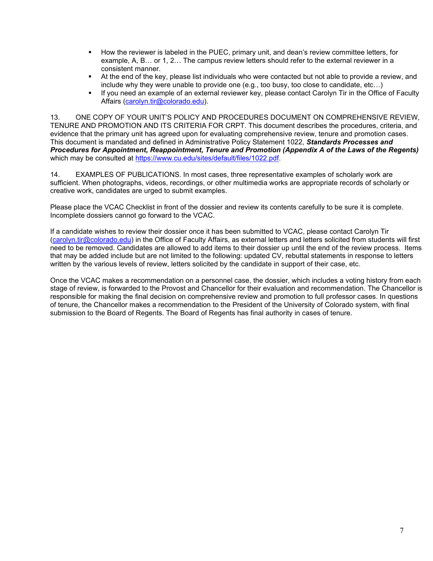- How the reviewer is labeled in the PUEC, primary unit, and dean's review committee letters, for example, A, B… or 1, 2… The campus review letters should refer to the external reviewer in a consistent manner.
- At the end of the key, please list individuals who were contacted but not able to provide a review, and include why they were unable to provide one (e.g., too busy, too close to candidate, etc…)
- If you need an example of an external reviewer key, please contact Carolyn Tir in the Office of Faculty Affairs [\(carolyn.tir@colorado.edu\)](mailto:carolyn.tir@colorado.edu).

13. ONE COPY OF YOUR UNIT'S POLICY AND PROCEDURES DOCUMENT ON COMPREHENSIVE REVIEW, TENURE AND PROMOTION AND ITS CRITERIA FOR CRPT. This document describes the procedures, criteria, and evidence that the primary unit has agreed upon for evaluating comprehensive review, tenure and promotion cases. This document is mandated and defined in Administrative Policy Statement 1022, *Standards Processes and Procedures for Appointment, Reappointment, Tenure and Promotion (Appendix A of the Laws of the Regents)* which may be consulted at [https://www.cu.edu/sites/default/files/1022.pdf.](https://www.cu.edu/sites/default/files/1022.pdf)

14. EXAMPLES OF PUBLICATIONS. In most cases, three representative examples of scholarly work are sufficient. When photographs, videos, recordings, or other multimedia works are appropriate records of scholarly or creative work, candidates are urged to submit examples.

Please place the VCAC Checklist in front of the dossier and review its contents carefully to be sure it is complete. Incomplete dossiers cannot go forward to the VCAC.

If a candidate wishes to review their dossier once it has been submitted to VCAC, please contact Carolyn Tir [\(carolyn.tir@colorado.edu\)](mailto:carolyn.tir@colorado.edu) in the Office of Faculty Affairs, as external letters and letters solicited from students will first need to be removed. Candidates are allowed to add items to their dossier up until the end of the review process. Items that may be added include but are not limited to the following: updated CV, rebuttal statements in response to letters written by the various levels of review, letters solicited by the candidate in support of their case, etc.

Once the VCAC makes a recommendation on a personnel case, the dossier, which includes a voting history from each stage of review, is forwarded to the Provost and Chancellor for their evaluation and recommendation. The Chancellor is responsible for making the final decision on comprehensive review and promotion to full professor cases. In questions of tenure, the Chancellor makes a recommendation to the President of the University of Colorado system, with final submission to the Board of Regents. The Board of Regents has final authority in cases of tenure.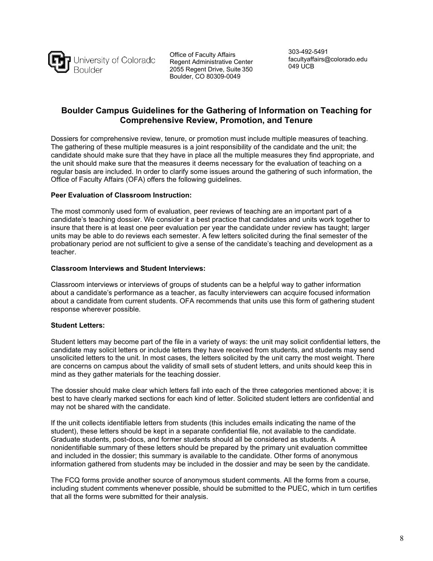

Office of Faculty Affairs Regent Administrative Center 2055 Regent Drive, Suite 350 Boulder, CO 80309-0049

303-492-5491 [facultyaffairs@colorado.edu](mailto:facultyaffairs@colorado.edu) 049 UCB

# **Boulder Campus Guidelines for the Gathering of Information on Teaching for Comprehensive Review, Promotion, and Tenure**

Dossiers for comprehensive review, tenure, or promotion must include multiple measures of teaching. The gathering of these multiple measures is a joint responsibility of the candidate and the unit; the candidate should make sure that they have in place all the multiple measures they find appropriate, and the unit should make sure that the measures it deems necessary for the evaluation of teaching on a regular basis are included. In order to clarify some issues around the gathering of such information, the Office of Faculty Affairs (OFA) offers the following guidelines.

# **Peer Evaluation of Classroom Instruction:**

The most commonly used form of evaluation, peer reviews of teaching are an important part of a candidate's teaching dossier. We consider it a best practice that candidates and units work together to insure that there is at least one peer evaluation per year the candidate under review has taught; larger units may be able to do reviews each semester. A few letters solicited during the final semester of the probationary period are not sufficient to give a sense of the candidate's teaching and development as a teacher.

#### **Classroom Interviews and Student Interviews:**

Classroom interviews or interviews of groups of students can be a helpful way to gather information about a candidate's performance as a teacher, as faculty interviewers can acquire focused information about a candidate from current students. OFA recommends that units use this form of gathering student response wherever possible.

# **Student Letters:**

Student letters may become part of the file in a variety of ways: the unit may solicit confidential letters, the candidate may solicit letters or include letters they have received from students, and students may send unsolicited letters to the unit. In most cases, the letters solicited by the unit carry the most weight. There are concerns on campus about the validity of small sets of student letters, and units should keep this in mind as they gather materials for the teaching dossier.

The dossier should make clear which letters fall into each of the three categories mentioned above; it is best to have clearly marked sections for each kind of letter. Solicited student letters are confidential and may not be shared with the candidate.

If the unit collects identifiable letters from students (this includes emails indicating the name of the student), these letters should be kept in a separate confidential file, not available to the candidate. Graduate students, post-docs, and former students should all be considered as students. A nonidentifiable summary of these letters should be prepared by the primary unit evaluation committee and included in the dossier; this summary is available to the candidate. Other forms of anonymous information gathered from students may be included in the dossier and may be seen by the candidate.

The FCQ forms provide another source of anonymous student comments. All the forms from a course, including student comments whenever possible, should be submitted to the PUEC, which in turn certifies that all the forms were submitted for their analysis.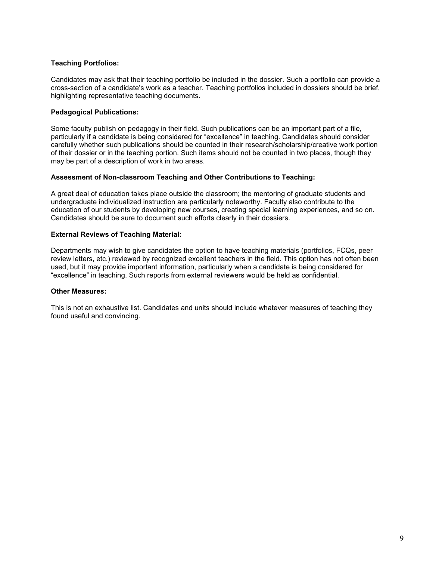# **Teaching Portfolios:**

Candidates may ask that their teaching portfolio be included in the dossier. Such a portfolio can provide a cross-section of a candidate's work as a teacher. Teaching portfolios included in dossiers should be brief, highlighting representative teaching documents.

# **Pedagogical Publications:**

Some faculty publish on pedagogy in their field. Such publications can be an important part of a file, particularly if a candidate is being considered for "excellence" in teaching. Candidates should consider carefully whether such publications should be counted in their research/scholarship/creative work portion of their dossier or in the teaching portion. Such items should not be counted in two places, though they may be part of a description of work in two areas.

# **Assessment of Non-classroom Teaching and Other Contributions to Teaching:**

A great deal of education takes place outside the classroom; the mentoring of graduate students and undergraduate individualized instruction are particularly noteworthy. Faculty also contribute to the education of our students by developing new courses, creating special learning experiences, and so on. Candidates should be sure to document such efforts clearly in their dossiers.

# **External Reviews of Teaching Material:**

Departments may wish to give candidates the option to have teaching materials (portfolios, FCQs, peer review letters, etc.) reviewed by recognized excellent teachers in the field. This option has not often been used, but it may provide important information, particularly when a candidate is being considered for "excellence" in teaching. Such reports from external reviewers would be held as confidential.

#### **Other Measures:**

This is not an exhaustive list. Candidates and units should include whatever measures of teaching they found useful and convincing.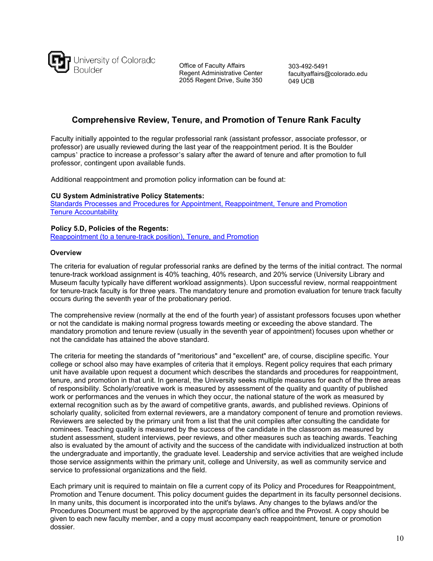

Office of Faculty Affairs Regent Administrative Center 2055 Regent Drive, Suite 350

303-492-5491 [facultyaffairs@colorado.edu](mailto:facultyaffairs@colorado.edu) 049 UCB

# **Comprehensive Review, Tenure, and Promotion of Tenure Rank Faculty**

Faculty initially appointed to the regular professorial rank (assistant professor, associate professor, or professor) are usually reviewed during the last year of the reappointment period. It is the Boulder campus' practice to increase a professor's salary after the award of tenure and after promotion to full professor, contingent upon available funds.

Additional reappointment and promotion policy information can be found at:

#### **CU System Administrative Policy Statements:**

[Standards Processes and Procedures for Appointment, Reappointment, Tenure and Promotion](https://www.cu.edu/ope/aps/1022) [Tenure Accountability](https://www.cu.edu/ope/aps/1020)

#### **Policy 5.D, Policies of the Regents:**

[Reappointment \(to a tenure-track position\), Tenure, and Promotion](https://www.cu.edu/regents/policy/5)

#### **Overview**

The criteria for evaluation of regular professorial ranks are defined by the terms of the initial contract. The normal tenure-track workload assignment is 40% teaching, 40% research, and 20% service (University Library and Museum faculty typically have different workload assignments). Upon successful review, normal reappointment for tenure-track faculty is for three years. The mandatory tenure and promotion evaluation for tenure track faculty occurs during the seventh year of the probationary period.

The comprehensive review (normally at the end of the fourth year) of assistant professors focuses upon whether or not the candidate is making normal progress towards meeting or exceeding the above standard. The mandatory promotion and tenure review (usually in the seventh year of appointment) focuses upon whether or not the candidate has attained the above standard.

The criteria for meeting the standards of "meritorious" and "excellent" are, of course, discipline specific. Your college or school also may have examples of criteria that it employs. Regent policy requires that each primary unit have available upon request a document which describes the standards and procedures for reappointment, tenure, and promotion in that unit. In general, the University seeks multiple measures for each of the three areas of responsibility. Scholarly/creative work is measured by assessment of the quality and quantity of published work or performances and the venues in which they occur, the national stature of the work as measured by external recognition such as by the award of competitive grants, awards, and published reviews. Opinions of scholarly quality, solicited from external reviewers, are a mandatory component of tenure and promotion reviews. Reviewers are selected by the primary unit from a list that the unit compiles after consulting the candidate for nominees. Teaching quality is measured by the success of the candidate in the classroom as measured by student assessment, student interviews, peer reviews, and other measures such as teaching awards. Teaching also is evaluated by the amount of activity and the success of the candidate with individualized instruction at both the undergraduate and importantly, the graduate level. Leadership and service activities that are weighed include those service assignments within the primary unit, college and University, as well as community service and service to professional organizations and the field.

Each primary unit is required to maintain on file a current copy of its Policy and Procedures for Reappointment, Promotion and Tenure document. This policy document guides the department in its faculty personnel decisions. In many units, this document is incorporated into the unit's bylaws. Any changes to the bylaws and/or the Procedures Document must be approved by the appropriate dean's office and the Provost. A copy should be given to each new faculty member, and a copy must accompany each reappointment, tenure or promotion dossier.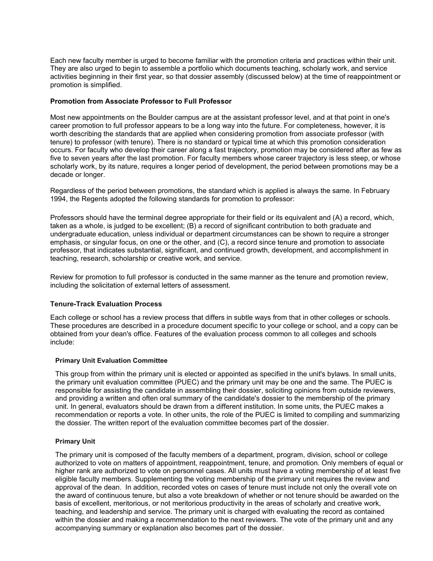Each new faculty member is urged to become familiar with the promotion criteria and practices within their unit. They are also urged to begin to assemble a portfolio which documents teaching, scholarly work, and service activities beginning in their first year, so that dossier assembly (discussed below) at the time of reappointment or promotion is simplified.

#### **Promotion from Associate Professor to Full Professor**

Most new appointments on the Boulder campus are at the assistant professor level, and at that point in one's career promotion to full professor appears to be a long way into the future. For completeness, however, it is worth describing the standards that are applied when considering promotion from associate professor (with tenure) to professor (with tenure). There is no standard or typical time at which this promotion consideration occurs. For faculty who develop their career along a fast trajectory, promotion may be considered after as few as five to seven years after the last promotion. For faculty members whose career trajectory is less steep, or whose scholarly work, by its nature, requires a longer period of development, the period between promotions may be a decade or longer.

Regardless of the period between promotions, the standard which is applied is always the same. In February 1994, the Regents adopted the following standards for promotion to professor:

Professors should have the terminal degree appropriate for their field or its equivalent and (A) a record, which, taken as a whole, is judged to be excellent; (B) a record of significant contribution to both graduate and undergraduate education, unless individual or department circumstances can be shown to require a stronger emphasis, or singular focus, on one or the other, and (C), a record since tenure and promotion to associate professor, that indicates substantial, significant, and continued growth, development, and accomplishment in teaching, research, scholarship or creative work, and service.

Review for promotion to full professor is conducted in the same manner as the tenure and promotion review, including the solicitation of external letters of assessment.

#### **Tenure-Track Evaluation Process**

Each college or school has a review process that differs in subtle ways from that in other colleges or schools. These procedures are described in a procedure document specific to your college or school, and a copy can be obtained from your dean's office. Features of the evaluation process common to all colleges and schools include:

#### **Primary Unit Evaluation Committee**

This group from within the primary unit is elected or appointed as specified in the unit's bylaws. In small units, the primary unit evaluation committee (PUEC) and the primary unit may be one and the same. The PUEC is responsible for assisting the candidate in assembling their dossier, soliciting opinions from outside reviewers, and providing a written and often oral summary of the candidate's dossier to the membership of the primary unit. In general, evaluators should be drawn from a different institution. In some units, the PUEC makes a recommendation or reports a vote. In other units, the role of the PUEC is limited to compiling and summarizing the dossier. The written report of the evaluation committee becomes part of the dossier.

#### **Primary Unit**

The primary unit is composed of the faculty members of a department, program, division, school or college authorized to vote on matters of appointment, reappointment, tenure, and promotion. Only members of equal or higher rank are authorized to vote on personnel cases. All units must have a voting membership of at least five eligible faculty members. Supplementing the voting membership of the primary unit requires the review and approval of the dean. In addition, recorded votes on cases of tenure must include not only the overall vote on the award of continuous tenure, but also a vote breakdown of whether or not tenure should be awarded on the basis of excellent, meritorious, or not meritorious productivity in the areas of scholarly and creative work, teaching, and leadership and service. The primary unit is charged with evaluating the record as contained within the dossier and making a recommendation to the next reviewers. The vote of the primary unit and any accompanying summary or explanation also becomes part of the dossier.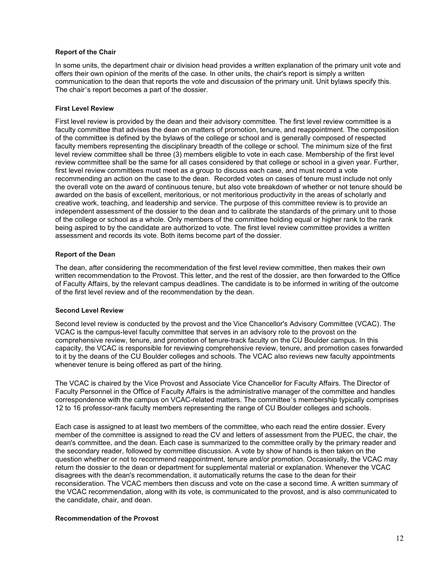#### **Report of the Chair**

In some units, the department chair or division head provides a written explanation of the primary unit vote and offers their own opinion of the merits of the case. In other units, the chair's report is simply a written communication to the dean that reports the vote and discussion of the primary unit. Unit bylaws specify this. The chair's report becomes a part of the dossier.

#### **First Level Review**

First level review is provided by the dean and their advisory committee. The first level review committee is a faculty committee that advises the dean on matters of promotion, tenure, and reappointment. The composition of the committee is defined by the bylaws of the college or school and is generally composed of respected faculty members representing the disciplinary breadth of the college or school. The minimum size of the first level review committee shall be three (3) members eligible to vote in each case. Membership of the first level review committee shall be the same for all cases considered by that college or school in a given year. Further, first level review committees must meet as a group to discuss each case, and must record a vote recommending an action on the case to the dean. Recorded votes on cases of tenure must include not only the overall vote on the award of continuous tenure, but also vote breakdown of whether or not tenure should be awarded on the basis of excellent, meritorious, or not meritorious productivity in the areas of scholarly and creative work, teaching, and leadership and service. The purpose of this committee review is to provide an independent assessment of the dossier to the dean and to calibrate the standards of the primary unit to those of the college or school as a whole. Only members of the committee holding equal or higher rank to the rank being aspired to by the candidate are authorized to vote. The first level review committee provides a written assessment and records its vote. Both items become part of the dossier.

#### **Report of the Dean**

The dean, after considering the recommendation of the first level review committee, then makes their own written recommendation to the Provost. This letter, and the rest of the dossier, are then forwarded to the Office of Faculty Affairs, by the relevant campus deadlines. The candidate is to be informed in writing of the outcome of the first level review and of the recommendation by the dean.

#### **Second Level Review**

Second level review is conducted by the provost and the [Vice Chancellor's Advisory Committee \(VCAC\).](https://www.colorado.edu/facultyaffairs/vice-chancellors-advisory-committee-vcac) The VCAC is the campus-level faculty committee that serves in an advisory role to the provost on the comprehensive review, tenure, and promotion of tenure-track faculty on the CU Boulder campus. In this capacity, the VCAC is responsible for reviewing comprehensive review, tenure, and promotion cases forwarded to it by the deans of the CU Boulder colleges and schools. The VCAC also reviews new faculty appointments whenever tenure is being offered as part of the hiring.

The VCAC is chaired by the Vice Provost and Associate Vice Chancellor for Faculty Affairs. The Director of Faculty Personnel in the Office of Faculty Affairs is the administrative manager of the committee and handles correspondence with the campus on VCAC-related matters. The committee's membership typically comprises 12 to 16 professor-rank faculty members representing the range of CU Boulder colleges and schools.

Each case is assigned to at least two members of the committee, who each read the entire dossier. Every member of the committee is assigned to read the CV and letters of assessment from the PUEC, the chair, the dean's committee, and the dean. Each case is summarized to the committee orally by the primary reader and the secondary reader, followed by committee discussion. A vote by show of hands is then taken on the question whether or not to recommend reappointment, tenure and/or promotion. Occasionally, the VCAC may return the dossier to the dean or department for supplemental material or explanation. Whenever the VCAC disagrees with the dean's recommendation, it automatically returns the case to the dean for their reconsideration. The VCAC members then discuss and vote on the case a second time. A written summary of the VCAC recommendation, along with its vote, is communicated to the provost, and is also communicated to the candidate, chair, and dean.

#### **Recommendation of the Provost**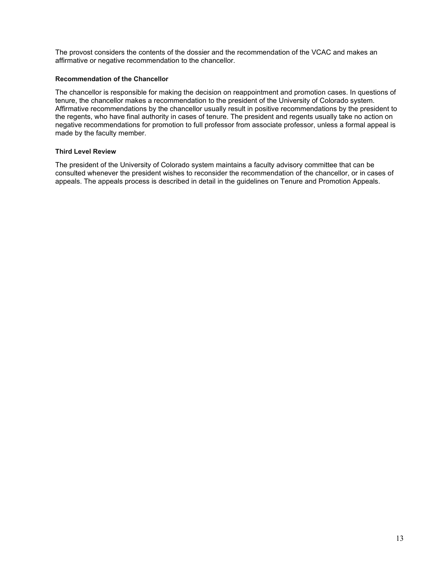The provost considers the contents of the dossier and the recommendation of the VCAC and makes an affirmative or negative recommendation to the chancellor.

#### **Recommendation of the Chancellor**

The chancellor is responsible for making the decision on reappointment and promotion cases. In questions of tenure, the chancellor makes a recommendation to the president of the University of Colorado system. Affirmative recommendations by the chancellor usually result in positive recommendations by the president to the regents, who have final authority in cases of tenure. The president and regents usually take no action on negative recommendations for promotion to full professor from associate professor, unless a formal appeal is made by the faculty member.

#### **Third Level Review**

The president of the University of Colorado system maintains a faculty advisory committee that can be consulted whenever the president wishes to reconsider the recommendation of the chancellor, or in cases of appeals. The appeals process is described in detail in the guidelines on Tenure and Promotion Appeals.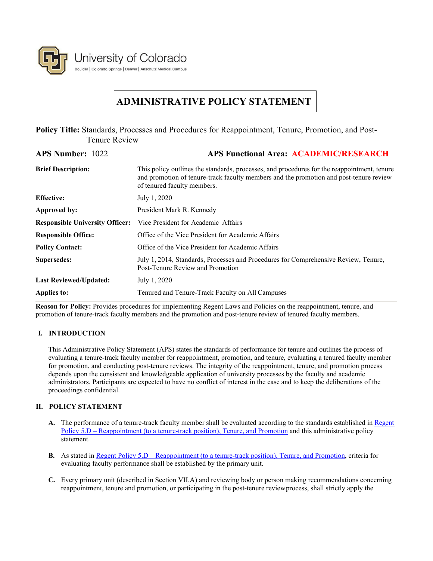

# **ADMINISTRATIVE POLICY STATEMENT**

**Policy Title:** Standards, Processes and Procedures for Reappointment, Tenure, Promotion, and Post-Tenure Review

| <b>APS Number: 1022</b>                | <b>APS Functional Area: ACADEMIC/RESEARCH</b>                                                                                                                                                                        |
|----------------------------------------|----------------------------------------------------------------------------------------------------------------------------------------------------------------------------------------------------------------------|
| <b>Brief Description:</b>              | This policy outlines the standards, processes, and procedures for the reappointment, tenure<br>and promotion of tenure-track faculty members and the promotion and post-tenure review<br>of tenured faculty members. |
| <b>Effective:</b>                      | July 1, 2020                                                                                                                                                                                                         |
| Approved by:                           | President Mark R. Kennedy                                                                                                                                                                                            |
| <b>Responsible University Officer:</b> | Vice President for Academic Affairs                                                                                                                                                                                  |
| <b>Responsible Office:</b>             | Office of the Vice President for Academic Affairs                                                                                                                                                                    |
| <b>Policy Contact:</b>                 | Office of the Vice President for Academic Affairs                                                                                                                                                                    |
| Supersedes:                            | July 1, 2014, Standards, Processes and Procedures for Comprehensive Review, Tenure,<br>Post-Tenure Review and Promotion                                                                                              |
| <b>Last Reviewed/Updated:</b>          | July 1, 2020                                                                                                                                                                                                         |
| <b>Applies to:</b>                     | Tenured and Tenure-Track Faculty on All Campuses                                                                                                                                                                     |

**Reason for Policy:** Provides procedures for implementing Regent Laws and Policies on the reappointment, tenure, and promotion of tenure-track faculty members and the promotion and post-tenure review of tenured faculty members.

# **I. INTRODUCTION**

This Administrative Policy Statement (APS) states the standards of performance for tenure and outlines the process of evaluating a tenure-track faculty member for reappointment, promotion, and tenure, evaluating a tenured faculty member for promotion, and conducting post-tenure reviews. The integrity of the reappointment, tenure, and promotion process depends upon the consistent and knowledgeable application of university processes by the faculty and academic administrators. Participants are expected to have no conflict of interest in the case and to keep the deliberations of the proceedings confidential.

# **II. POLICY STATEMENT**

- **A.** The performance of a tenure-track faculty member shall be evaluated according to the standards established in [Regent](https://www.cu.edu/regents/policy/5)  Policy 5.D – [Reappointment \(to a tenure-track position\), Tenure, and Promotion](https://www.cu.edu/regents/policy/5) and this administrative policy statement.
- **B.** As stated in <u>Regent Policy 5.D [Reappointment \(to a tenure-track position\), Tenure, and Promotion,](https://www.cu.edu/regents/policy/5) criteria for</u> evaluating faculty performance shall be established by the primary unit.
- **C.** Every primary unit (described in Section VII.A) and reviewing body or person making recommendations concerning reappointment, tenure and promotion, or participating in the post-tenure reviewprocess, shall strictly apply the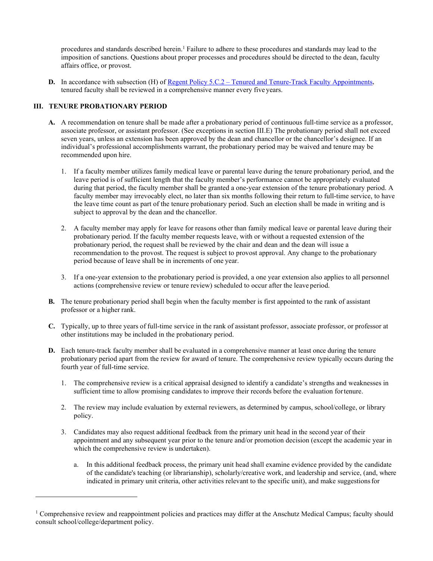procedures and standards described herein.1 Failure to adhere to these procedures and standards may lead to the imposition of sanctions. Questions about proper processes and procedures should be directed to the dean, faculty affairs office, or provost.

**D.** In accordance with subsection (H) of <u>Regent Policy 5.C.2</u> – [Tenured and Tenure-Track Faculty Appointments,](https://www.cu.edu/regents/policy/5) tenured faculty shall be reviewed in a comprehensive manner every five years.

# **III. TENURE PROBATIONARY PERIOD**

- **A.** A recommendation on tenure shall be made after a probationary period of continuous full-time service as a professor, associate professor, or assistant professor. (See exceptions in section III.E) The probationary period shall not exceed seven years, unless an extension has been approved by the dean and chancellor or the chancellor's designee. If an individual's professional accomplishments warrant, the probationary period may be waived and tenure may be recommended upon hire.
	- 1. If a faculty member utilizes family medical leave or parental leave during the tenure probationary period, and the leave period is of sufficient length that the faculty member's performance cannot be appropriately evaluated during that period, the faculty member shall be granted a one-year extension of the tenure probationary period. A faculty member may irrevocably elect, no later than six months following their return to full-time service, to have the leave time count as part of the tenure probationary period. Such an election shall be made in writing and is subject to approval by the dean and the chancellor.
	- 2. A faculty member may apply for leave for reasons other than family medical leave or parental leave during their probationary period. If the faculty member requests leave, with or without a requested extension of the probationary period, the request shall be reviewed by the chair and dean and the dean will issue a recommendation to the provost. The request is subject to provost approval. Any change to the probationary period because of leave shall be in increments of one year.
	- 3. If a one-year extension to the probationary period is provided, a one year extension also applies to all personnel actions (comprehensive review or tenure review) scheduled to occur after the leave period.
- **B.** The tenure probationary period shall begin when the faculty member is first appointed to the rank of assistant professor or a higher rank.
- **C.** Typically, up to three years of full-time service in the rank of assistant professor, associate professor, or professor at other institutions may be included in the probationary period.
- **D.** Each tenure-track faculty member shall be evaluated in a comprehensive manner at least once during the tenure probationary period apart from the review for award of tenure. The comprehensive review typically occurs during the fourth year of full-time service.
	- 1. The comprehensive review is a critical appraisal designed to identify a candidate's strengths and weaknesses in sufficient time to allow promising candidates to improve their records before the evaluation fortenure.
	- 2. The review may include evaluation by external reviewers, as determined by campus, school/college, or library policy.
	- 3. Candidates may also request additional feedback from the primary unit head in the second year of their appointment and any subsequent year prior to the tenure and/or promotion decision (except the academic year in which the comprehensive review is undertaken).
		- a. In this additional feedback process, the primary unit head shall examine evidence provided by the candidate of the candidate's teaching (or librarianship), scholarly/creative work, and leadership and service, (and, where indicated in primary unit criteria, other activities relevant to the specific unit), and make suggestionsfor

<sup>&</sup>lt;sup>1</sup> Comprehensive review and reappointment policies and practices may differ at the Anschutz Medical Campus; faculty should consult school/college/department policy.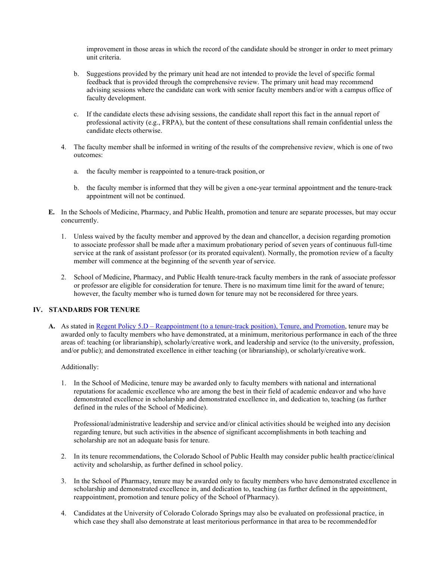improvement in those areas in which the record of the candidate should be stronger in order to meet primary unit criteria.

- b. Suggestions provided by the primary unit head are not intended to provide the level of specific formal feedback that is provided through the comprehensive review. The primary unit head may recommend advising sessions where the candidate can work with senior faculty members and/or with a campus office of faculty development.
- c. If the candidate elects these advising sessions, the candidate shall report this fact in the annual report of professional activity (e.g., FRPA), but the content of these consultations shall remain confidential unless the candidate elects otherwise.
- 4. The faculty member shall be informed in writing of the results of the comprehensive review, which is one of two outcomes:
	- a. the faculty member is reappointed to a tenure-track position, or
	- b. the faculty member is informed that they will be given a one-year terminal appointment and the tenure-track appointment will not be continued.
- **E.** In the Schools of Medicine, Pharmacy, and Public Health, promotion and tenure are separate processes, but may occur concurrently.
	- 1. Unless waived by the faculty member and approved by the dean and chancellor, a decision regarding promotion to associate professor shall be made after a maximum probationary period of seven years of continuous full-time service at the rank of assistant professor (or its prorated equivalent). Normally, the promotion review of a faculty member will commence at the beginning of the seventh year of service.
	- 2. School of Medicine, Pharmacy, and Public Health tenure-track faculty members in the rank of associate professor or professor are eligible for consideration for tenure. There is no maximum time limit for the award of tenure; however, the faculty member who is turned down for tenure may not be reconsidered for three years.

#### **IV. STANDARDS FOR TENURE**

**A.** As stated in Regent Policy 5.D – [Reappointment \(to a tenure-track position\), Tenure, and Promotion,](https://www.cu.edu/regents/policy/5) tenure may be awarded only to faculty members who have demonstrated, at a minimum, meritorious performance in each of the three areas of: teaching (or librarianship), scholarly/creative work, and leadership and service (to the university, profession, and/or public); and demonstrated excellence in either teaching (or librarianship), or scholarly/creative work.

#### Additionally:

1. In the School of Medicine, tenure may be awarded only to faculty members with national and international reputations for academic excellence who are among the best in their field of academic endeavor and who have demonstrated excellence in scholarship and demonstrated excellence in, and dedication to, teaching (as further defined in the rules of the School of Medicine).

Professional/administrative leadership and service and/or clinical activities should be weighed into any decision regarding tenure, but such activities in the absence of significant accomplishments in both teaching and scholarship are not an adequate basis for tenure.

- 2. In its tenure recommendations, the Colorado School of Public Health may consider public health practice/clinical activity and scholarship, as further defined in school policy.
- 3. In the School of Pharmacy, tenure may be awarded only to faculty members who have demonstrated excellence in scholarship and demonstrated excellence in, and dedication to, teaching (as further defined in the appointment, reappointment, promotion and tenure policy of the School of Pharmacy).
- 4. Candidates at the University of Colorado Colorado Springs may also be evaluated on professional practice, in which case they shall also demonstrate at least meritorious performance in that area to be recommendedfor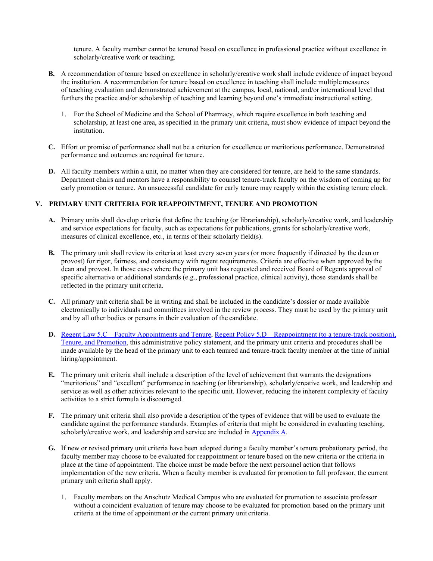tenure. A faculty member cannot be tenured based on excellence in professional practice without excellence in scholarly/creative work or teaching.

- **B.** A recommendation of tenure based on excellence in scholarly/creative work shall include evidence of impact beyond the institution. A recommendation for tenure based on excellence in teaching shall include multiplemeasures of teaching evaluation and demonstrated achievement at the campus, local, national, and/or international level that furthers the practice and/or scholarship of teaching and learning beyond one's immediate instructional setting.
	- 1. For the School of Medicine and the School of Pharmacy, which require excellence in both teaching and scholarship, at least one area, as specified in the primary unit criteria, must show evidence of impact beyond the institution.
- **C.** Effort or promise of performance shall not be a criterion for excellence or meritorious performance. Demonstrated performance and outcomes are required for tenure.
- **D.** All faculty members within a unit, no matter when they are considered for tenure, are held to the same standards. Department chairs and mentors have a responsibility to counsel tenure-track faculty on the wisdom of coming up for early promotion or tenure. An unsuccessful candidate for early tenure may reapply within the existing tenure clock.

#### **V. PRIMARY UNIT CRITERIA FOR REAPPOINTMENT, TENURE AND PROMOTION**

- **A.** Primary units shall develop criteria that define the teaching (or librarianship), scholarly/creative work, and leadership and service expectations for faculty, such as expectations for publications, grants for scholarly/creative work, measures of clinical excellence, etc., in terms of their scholarly field(s).
- **B.** The primary unit shall review its criteria at least every seven years (or more frequently if directed by the dean or provost) for rigor, fairness, and consistency with regent requirements. Criteria are effective when approved bythe dean and provost. In those cases where the primary unit has requested and received Board of Regents approval of specific alternative or additional standards (e.g., professional practice, clinical activity), those standards shall be reflected in the primary unit criteria.
- **C.** All primary unit criteria shall be in writing and shall be included in the candidate's dossier or made available electronically to individuals and committees involved in the review process. They must be used by the primary unit and by all other bodies or persons in their evaluation of the candidate.
- **D.** Regent Law 5.C [Faculty Appointments and Tenure,](https://www.cu.edu/regents/law/5#:%7E:text=(A)%20Tenured%20and%20tenure%2D,grievance%20to%20the%20Faculty%20Senate) Regent Policy 5.D [Reappointment \(to a tenure-track position\),](https://www.cu.edu/regents/policy/5)  [Tenure, and Promotion,](https://www.cu.edu/regents/policy/5) this administrative policy statement, and the primary unit criteria and procedures shall be made available by the head of the primary unit to each tenured and tenure-track faculty member at the time of initial hiring/appointment.
- **E.** The primary unit criteria shall include a description of the level of achievement that warrants the designations "meritorious" and "excellent" performance in teaching (or librarianship), scholarly/creative work, and leadership and service as well as other activities relevant to the specific unit. However, reducing the inherent complexity of faculty activities to a strict formula is discouraged.
- **F.** The primary unit criteria shall also provide a description of the types of evidence that will be used to evaluate the candidate against the performance standards. Examples of criteria that might be considered in evaluating teaching, scholarly/creative work, and leadership and service are included in [Appendix](#page-24-0) A.
- **G.** If new or revised primary unit criteria have been adopted during a faculty member's tenure probationary period, the faculty member may choose to be evaluated for reappointment or tenure based on the new criteria or the criteria in place at the time of appointment. The choice must be made before the next personnel action that follows implementation of the new criteria. When a faculty member is evaluated for promotion to full professor, the current primary unit criteria shall apply.
	- 1. Faculty members on the Anschutz Medical Campus who are evaluated for promotion to associate professor without a coincident evaluation of tenure may choose to be evaluated for promotion based on the primary unit criteria at the time of appointment or the current primary unit criteria.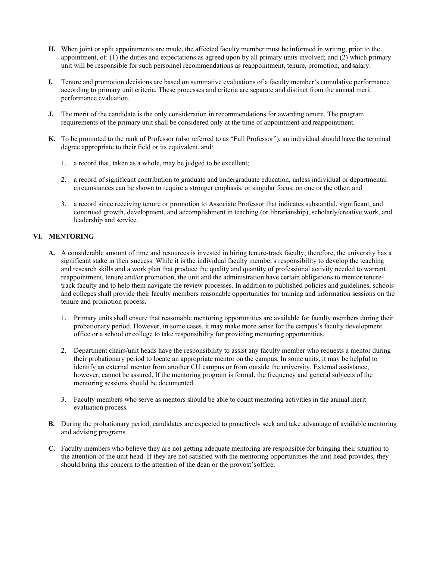- **H.** When joint or split appointments are made, the affected faculty member must be informed in writing, prior to the appointment, of: (1) the duties and expectations as agreed upon by all primary units involved; and (2) which primary unit will be responsible for such personnel recommendations as reappointment, tenure, promotion, andsalary.
- **I.** Tenure and promotion decisions are based on summative evaluations of a faculty member's cumulative performance according to primary unit criteria. These processes and criteria are separate and distinct from the annual merit performance evaluation.
- **J.** The merit of the candidate is the only consideration in recommendations for awarding tenure. The program requirements of the primary unit shall be considered only at the time of appointment and reappointment.
- **K.** To be promoted to the rank of Professor (also referred to as "Full Professor"), an individual should have the terminal degree appropriate to their field or its equivalent, and:
	- 1. a record that, taken as a whole, may be judged to be excellent;
	- 2. a record of significant contribution to graduate and undergraduate education, unless individual or departmental circumstances can be shown to require a stronger emphasis, or singular focus, on one or the other; and
	- 3. a record since receiving tenure or promotion to Associate Professor that indicates substantial, significant, and continued growth, development, and accomplishment in teaching (or librarianship), scholarly/creative work, and leadership and service.

#### **VI. MENTORING**

- **A.** A considerable amount of time and resources is invested in hiring tenure-track faculty; therefore, the university has a significant stake in their success. While it is the individual faculty member's responsibility to develop the teaching and research skills and a work plan that produce the quality and quantity of professional activity needed to warrant reappointment, tenure and/or promotion, the unit and the administration have certain obligations to mentor tenuretrack faculty and to help them navigate the review processes. In addition to published policies and guidelines, schools and colleges shall provide their faculty members reasonable opportunities for training and information sessions on the tenure and promotion process.
	- 1. Primary units shall ensure that reasonable mentoring opportunities are available for faculty members during their probationary period. However, in some cases, it may make more sense for the campus's faculty development office or a school or college to take responsibility for providing mentoring opportunities.
	- 2. Department chairs/unit heads have the responsibility to assist any faculty member who requests a mentor during their probationary period to locate an appropriate mentor on the campus. In some units, it may be helpful to identify an external mentor from another CU campus or from outside the university. External assistance, however, cannot be assured. If the mentoring program is formal, the frequency and general subjects of the mentoring sessions should be documented.
	- 3. Faculty members who serve as mentors should be able to count mentoring activities in the annual merit evaluation process.
- **B.** During the probationary period, candidates are expected to proactively seek and take advantage of available mentoring and advising programs.
- **C.** Faculty members who believe they are not getting adequate mentoring are responsible for bringing their situation to the attention of the unit head. If they are not satisfied with the mentoring opportunities the unit head provides, they should bring this concern to the attention of the dean or the provost'soffice.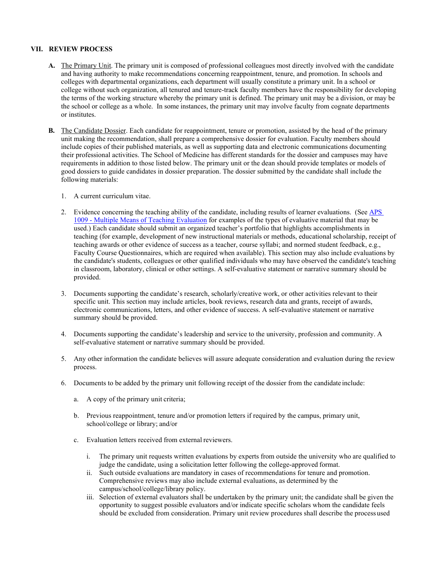#### **VII. REVIEW PROCESS**

- **A.** The Primary Unit. The primary unit is composed of professional colleagues most directly involved with the candidate and having authority to make recommendations concerning reappointment, tenure, and promotion. In schools and colleges with departmental organizations, each department will usually constitute a primary unit. In a school or college without such organization, all tenured and tenure-track faculty members have the responsibility for developing the terms of the working structure whereby the primary unit is defined. The primary unit may be a division, or may be the school or college as a whole. In some instances, the primary unit may involve faculty from cognate departments or institutes.
- **B.** The Candidate Dossier. Each candidate for reappointment, tenure or promotion, assisted by the head of the primary unit making the recommendation, shall prepare a comprehensive dossier for evaluation. Faculty members should include copies of their published materials, as well as supporting data and electronic communications documenting their professional activities. The School of Medicine has different standards for the dossier and campuses may have requirements in addition to those listed below. The primary unit or the dean should provide templates or models of good dossiers to guide candidates in dossier preparation. The dossier submitted by the candidate shall include the following materials:
	- 1. A current curriculum vitae.
	- 2. Evidence concerning the teaching ability of the candidate, including results of learner evaluations. (See [APS](https://www.cu.edu/ope/aps/1009)  1009 - [Multiple Means of Teaching Evaluation](https://www.cu.edu/ope/aps/1009) for examples of the types of evaluative material that may be used.) Each candidate should submit an organized teacher's portfolio that highlights accomplishments in teaching (for example, development of new instructional materials or methods, educational scholarship, receipt of teaching awards or other evidence of success as a teacher, course syllabi; and normed student feedback, e.g., Faculty Course Questionnaires, which are required when available). This section may also include evaluations by the candidate's students, colleagues or other qualified individuals who may have observed the candidate's teaching in classroom, laboratory, clinical or other settings. A self-evaluative statement or narrative summary should be provided.
	- 3. Documents supporting the candidate's research, scholarly/creative work, or other activities relevant to their specific unit. This section may include articles, book reviews, research data and grants, receipt of awards, electronic communications, letters, and other evidence of success. A self-evaluative statement or narrative summary should be provided.
	- 4. Documents supporting the candidate's leadership and service to the university, profession and community. A self-evaluative statement or narrative summary should be provided.
	- 5. Any other information the candidate believes will assure adequate consideration and evaluation during the review process.
	- 6. Documents to be added by the primary unit following receipt of the dossier from the candidate include:
		- a. A copy of the primary unit criteria;
		- b. Previous reappointment, tenure and/or promotion letters if required by the campus, primary unit, school/college or library; and/or
		- c. Evaluation letters received from external reviewers.
			- i. The primary unit requests written evaluations by experts from outside the university who are qualified to judge the candidate, using a solicitation letter following the college-approved format.
			- ii. Such outside evaluations are mandatory in cases of recommendations for tenure and promotion. Comprehensive reviews may also include external evaluations, as determined by the campus/school/college/library policy.
			- iii. Selection of external evaluators shall be undertaken by the primary unit; the candidate shall be given the opportunity to suggest possible evaluators and/or indicate specific scholars whom the candidate feels should be excluded from consideration. Primary unit review procedures shall describe the process used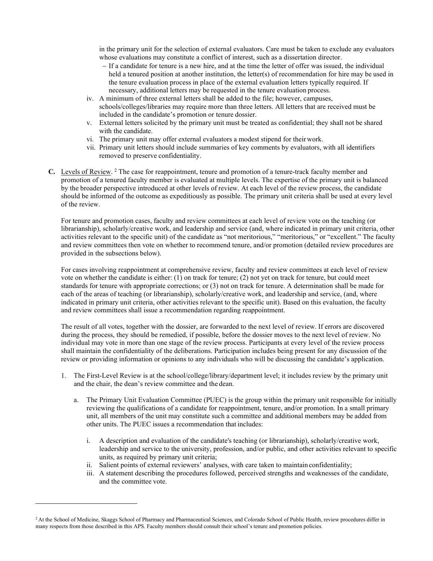in the primary unit for the selection of external evaluators. Care must be taken to exclude any evaluators whose evaluations may constitute a conflict of interest, such as a dissertation director.

- − If a candidate for tenure is a new hire, and at the time the letter of offer was issued, the individual held a tenured position at another institution, the letter(s) of recommendation for hire may be used in the tenure evaluation process in place of the external evaluation letters typically required. If necessary, additional letters may be requested in the tenure evaluation process.
- iv. A minimum of three external letters shall be added to the file; however, campuses, schools/colleges/libraries may require more than three letters. All letters that are received must be included in the candidate's promotion or tenure dossier.
- v. External letters solicited by the primary unit must be treated as confidential; they shall not be shared with the candidate.
- vi. The primary unit may offer external evaluators a modest stipend for their work.
- vii. Primary unit letters should include summaries of key comments by evaluators, with all identifiers removed to preserve confidentiality.
- **C.** Levels of Review. 2 The case for reappointment, tenure and promotion of a tenure-track faculty member and promotion of a tenured faculty member is evaluated at multiple levels. The expertise of the primary unit is balanced by the broader perspective introduced at other levels of review. At each level of the review process, the candidate should be informed of the outcome as expeditiously as possible. The primary unit criteria shall be used at every level of the review.

For tenure and promotion cases, faculty and review committees at each level of review vote on the teaching (or librarianship), scholarly/creative work, and leadership and service (and, where indicated in primary unit criteria, other activities relevant to the specific unit) of the candidate as "not meritorious," "meritorious," or "excellent." The faculty and review committees then vote on whether to recommend tenure, and/or promotion (detailed review procedures are provided in the subsections below).

For cases involving reappointment at comprehensive review, faculty and review committees at each level of review vote on whether the candidate is either: (1) on track for tenure; (2) not yet on track for tenure, but could meet standards for tenure with appropriate corrections; or (3) not on track for tenure. A determination shall be made for each of the areas of teaching (or librarianship), scholarly/creative work, and leadership and service, (and, where indicated in primary unit criteria, other activities relevant to the specific unit). Based on this evaluation, the faculty and review committees shall issue a recommendation regarding reappointment.

The result of all votes, together with the dossier, are forwarded to the next level of review. If errors are discovered during the process, they should be remedied, if possible, before the dossier moves to the next level of review. No individual may vote in more than one stage of the review process. Participants at every level of the review process shall maintain the confidentiality of the deliberations. Participation includes being present for any discussion of the review or providing information or opinions to any individuals who will be discussing the candidate's application.

- 1. The First-Level Review is at the school/college/library/department level; it includes review by the primary unit and the chair, the dean's review committee and the dean.
	- a. The Primary Unit Evaluation Committee (PUEC) is the group within the primary unit responsible for initially reviewing the qualifications of a candidate for reappointment, tenure, and/or promotion. In a small primary unit, all members of the unit may constitute such a committee and additional members may be added from other units. The PUEC issues a recommendation that includes:
		- i. A description and evaluation of the candidate's teaching (or librarianship), scholarly/creative work, leadership and service to the university, profession, and/or public, and other activities relevant to specific units, as required by primary unit criteria;
		- ii. Salient points of external reviewers' analyses, with care taken to maintain confidentiality;
		- iii. A statement describing the procedures followed, perceived strengths and weaknesses of the candidate, and the committee vote.

<sup>&</sup>lt;sup>2</sup> At the School of Medicine, Skaggs School of Pharmacy and Pharmaceutical Sciences, and Colorado School of Public Health, review procedures differ in many respects from those described in this APS. Faculty members should consult their school's tenure and promotion policies.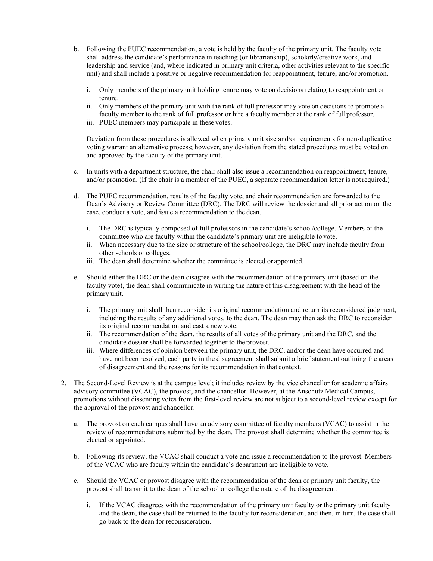- b. Following the PUEC recommendation, a vote is held by the faculty of the primary unit. The faculty vote shall address the candidate's performance in teaching (or librarianship), scholarly/creative work, and leadership and service (and, where indicated in primary unit criteria, other activities relevant to the specific unit) and shall include a positive or negative recommendation for reappointment, tenure, and/orpromotion.
	- i. Only members of the primary unit holding tenure may vote on decisions relating to reappointment or tenure.
	- ii. Only members of the primary unit with the rank of full professor may vote on decisions to promote a faculty member to the rank of full professor or hire a faculty member at the rank of fullprofessor.
	- iii. PUEC members may participate in these votes.

Deviation from these procedures is allowed when primary unit size and/or requirements for non-duplicative voting warrant an alternative process; however, any deviation from the stated procedures must be voted on and approved by the faculty of the primary unit.

- c. In units with a department structure, the chair shall also issue a recommendation on reappointment, tenure, and/or promotion. (If the chair is a member of the PUEC, a separate recommendation letter is notrequired.)
- d. The PUEC recommendation, results of the faculty vote, and chair recommendation are forwarded to the Dean's Advisory or Review Committee (DRC). The DRC will review the dossier and all prior action on the case, conduct a vote, and issue a recommendation to the dean.
	- i. The DRC is typically composed of full professors in the candidate's school/college. Members of the committee who are faculty within the candidate's primary unit are ineligible to vote.
	- ii. When necessary due to the size or structure of the school/college, the DRC may include faculty from other schools or colleges.
	- iii. The dean shall determine whether the committee is elected or appointed.
- e. Should either the DRC or the dean disagree with the recommendation of the primary unit (based on the faculty vote), the dean shall communicate in writing the nature of this disagreement with the head of the primary unit.
	- i. The primary unit shall then reconsider its original recommendation and return its reconsidered judgment, including the results of any additional votes, to the dean. The dean may then ask the DRC to reconsider its original recommendation and cast a new vote.
	- ii. The recommendation of the dean, the results of all votes of the primary unit and the DRC, and the candidate dossier shall be forwarded together to the provost.
	- iii. Where differences of opinion between the primary unit, the DRC, and/or the dean have occurred and have not been resolved, each party in the disagreement shall submit a brief statement outlining the areas of disagreement and the reasons for its recommendation in that context.
- 2. The Second-Level Review is at the campus level; it includes review by the vice chancellor for academic affairs advisory committee (VCAC), the provost, and the chancellor. However, at the Anschutz Medical Campus, promotions without dissenting votes from the first-level review are not subject to a second-level review except for the approval of the provost and chancellor.
	- a. The provost on each campus shall have an advisory committee of faculty members (VCAC) to assist in the review of recommendations submitted by the dean. The provost shall determine whether the committee is elected or appointed.
	- b. Following its review, the VCAC shall conduct a vote and issue a recommendation to the provost. Members of the VCAC who are faculty within the candidate's department are ineligible to vote.
	- c. Should the VCAC or provost disagree with the recommendation of the dean or primary unit faculty, the provost shall transmit to the dean of the school or college the nature of the disagreement.
		- i. If the VCAC disagrees with the recommendation of the primary unit faculty or the primary unit faculty and the dean, the case shall be returned to the faculty for reconsideration, and then, in turn, the case shall go back to the dean for reconsideration.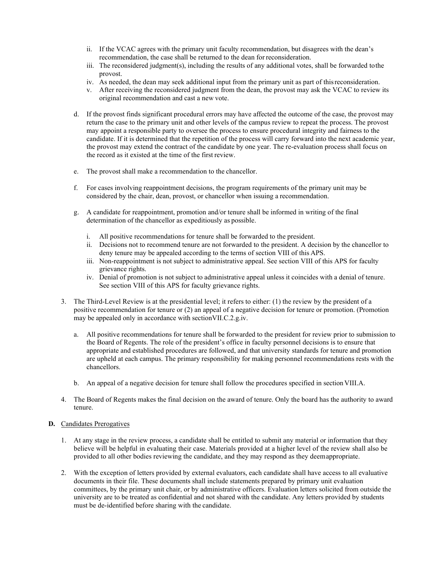- ii. If the VCAC agrees with the primary unit faculty recommendation, but disagrees with the dean's recommendation, the case shall be returned to the dean for reconsideration.
- iii. The reconsidered judgment(s), including the results of any additional votes, shall be forwarded tothe provost.
- iv. As needed, the dean may seek additional input from the primary unit as part of thisreconsideration.
- v. After receiving the reconsidered judgment from the dean, the provost may ask the VCAC to review its original recommendation and cast a new vote.
- d. If the provost finds significant procedural errors may have affected the outcome of the case, the provost may return the case to the primary unit and other levels of the campus review to repeat the process. The provost may appoint a responsible party to oversee the process to ensure procedural integrity and fairness to the candidate. If it is determined that the repetition of the process will carry forward into the next academic year, the provost may extend the contract of the candidate by one year. The re-evaluation process shall focus on the record as it existed at the time of the first review.
- e. The provost shall make a recommendation to the chancellor.
- f. For cases involving reappointment decisions, the program requirements of the primary unit may be considered by the chair, dean, provost, or chancellor when issuing a recommendation.
- g. A candidate for reappointment, promotion and/or tenure shall be informed in writing of the final determination of the chancellor as expeditiously as possible.
	- i. All positive recommendations for tenure shall be forwarded to the president.
	- ii. Decisions not to recommend tenure are not forwarded to the president. A decision by the chancellor to deny tenure may be appealed according to the terms of section VIII of this APS.
	- iii. Non-reappointment is not subject to administrative appeal. See section VIII of this APS for faculty grievance rights.
	- iv. Denial of promotion is not subject to administrative appeal unless it coincides with a denial of tenure. See section VIII of this APS for faculty grievance rights.
- 3. The Third-Level Review is at the presidential level; it refers to either: (1) the review by the president of a positive recommendation for tenure or (2) an appeal of a negative decision for tenure or promotion. (Promotion may be appealed only in accordance with sectionVII.C.2.g.iv.
	- a. All positive recommendations for tenure shall be forwarded to the president for review prior to submission to the Board of Regents. The role of the president's office in faculty personnel decisions is to ensure that appropriate and established procedures are followed, and that university standards for tenure and promotion are upheld at each campus. The primary responsibility for making personnel recommendations rests with the chancellors.
	- b. An appeal of a negative decision for tenure shall follow the procedures specified in section VIII.A.
- 4. The Board of Regents makes the final decision on the award of tenure. Only the board has the authority to award tenure.
- **D.** Candidates Prerogatives
	- 1. At any stage in the review process, a candidate shall be entitled to submit any material or information that they believe will be helpful in evaluating their case. Materials provided at a higher level of the review shall also be provided to all other bodies reviewing the candidate, and they may respond as they deemappropriate.
	- 2. With the exception of letters provided by external evaluators, each candidate shall have access to all evaluative documents in their file. These documents shall include statements prepared by primary unit evaluation committees, by the primary unit chair, or by administrative officers. Evaluation letters solicited from outside the university are to be treated as confidential and not shared with the candidate. Any letters provided by students must be de-identified before sharing with the candidate.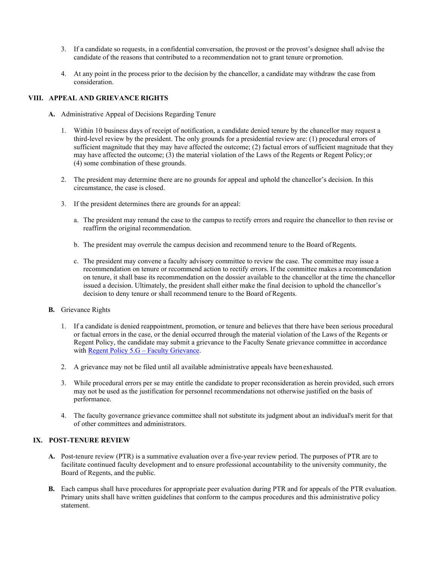- 3. If a candidate so requests, in a confidential conversation, the provost or the provost's designee shall advise the candidate of the reasons that contributed to a recommendation not to grant tenure or promotion.
- 4. At any point in the process prior to the decision by the chancellor, a candidate may withdraw the case from consideration.

#### **VIII. APPEAL AND GRIEVANCE RIGHTS**

- **A.** Administrative Appeal of Decisions Regarding Tenure
	- 1. Within 10 business days of receipt of notification, a candidate denied tenure by the chancellor may request a third-level review by the president. The only grounds for a presidential review are: (1) procedural errors of sufficient magnitude that they may have affected the outcome; (2) factual errors of sufficient magnitude that they may have affected the outcome; (3) the material violation of the Laws of the Regents or Regent Policy;or (4) some combination of these grounds.
	- 2. The president may determine there are no grounds for appeal and uphold the chancellor's decision. In this circumstance, the case is closed.
	- 3. If the president determines there are grounds for an appeal:
		- a. The president may remand the case to the campus to rectify errors and require the chancellor to then revise or reaffirm the original recommendation.
		- b. The president may overrule the campus decision and recommend tenure to the Board ofRegents.
		- c. The president may convene a faculty advisory committee to review the case. The committee may issue a recommendation on tenure or recommend action to rectify errors. If the committee makes a recommendation on tenure, it shall base its recommendation on the dossier available to the chancellor at the time the chancellor issued a decision. Ultimately, the president shall either make the final decision to uphold the chancellor's decision to deny tenure or shall recommend tenure to the Board of Regents.
- **B.** Grievance Rights
	- 1. If a candidate is denied reappointment, promotion, or tenure and believes that there have been serious procedural or factual errors in the case, or the denial occurred through the material violation of the Laws of the Regents or Regent Policy, the candidate may submit a grievance to the Faculty Senate grievance committee in accordance with [Regent Policy 5.G –](https://www.cu.edu/regents/policy/5) Faculty Grievance.
	- 2. A grievance may not be filed until all available administrative appeals have beenexhausted.
	- 3. While procedural errors per se may entitle the candidate to proper reconsideration as herein provided, such errors may not be used as the justification for personnel recommendations not otherwise justified on the basis of performance.
	- 4. The faculty governance grievance committee shall not substitute its judgment about an individual's merit for that of other committees and administrators.

# **IX. POST-TENURE REVIEW**

- **A.** Post-tenure review (PTR) is a summative evaluation over a five-year review period. The purposes of PTR are to facilitate continued faculty development and to ensure professional accountability to the university community, the Board of Regents, and the public.
- **B.** Each campus shall have procedures for appropriate peer evaluation during PTR and for appeals of the PTR evaluation. Primary units shall have written guidelines that conform to the campus procedures and this administrative policy statement.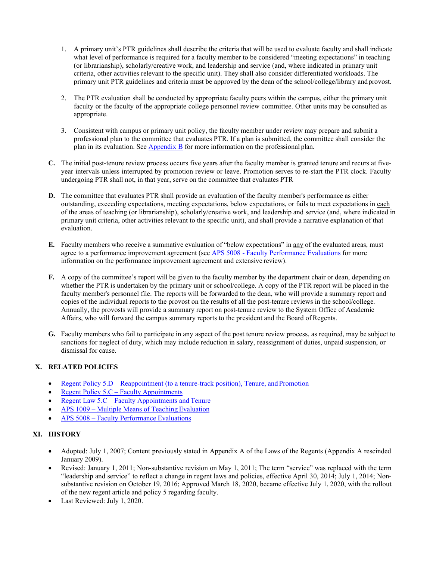- 1. A primary unit's PTR guidelines shall describe the criteria that will be used to evaluate faculty and shall indicate what level of performance is required for a faculty member to be considered "meeting expectations" in teaching (or librarianship), scholarly/creative work, and leadership and service (and, where indicated in primary unit criteria, other activities relevant to the specific unit). They shall also consider differentiated workloads. The primary unit PTR guidelines and criteria must be approved by the dean of the school/college/library andprovost.
- 2. The PTR evaluation shall be conducted by appropriate faculty peers within the campus, either the primary unit faculty or the faculty of the appropriate college personnel review committee. Other units may be consulted as appropriate.
- 3. Consistent with campus or primary unit policy, the faculty member under review may prepare and submit a professional plan to the committee that evaluates PTR. If a plan is submitted, the committee shall consider the plan in its evaluation. See [Appendix B](#page-25-0) for more information on the professional plan.
- **C.** The initial post-tenure review process occurs five years after the faculty member is granted tenure and recurs at fiveyear intervals unless interrupted by promotion review or leave. Promotion serves to re-start the PTR clock. Faculty undergoing PTR shall not, in that year, serve on the committee that evaluates PTR
- **D.** The committee that evaluates PTR shall provide an evaluation of the faculty member's performance as either outstanding, exceeding expectations, meeting expectations, below expectations, or fails to meet expectations in each of the areas of teaching (or librarianship), scholarly/creative work, and leadership and service (and, where indicated in primary unit criteria, other activities relevant to the specific unit), and shall provide a narrative explanation of that evaluation.
- **E.** Faculty members who receive a summative evaluation of "below expectations" in any of the evaluated areas, must agree to a performance improvement agreement (see APS 5008 - [Faculty Performance Evaluations](https://www.cu.edu/ope/aps/5008) for more information on the performance improvement agreement and extensive review).
- **F.** A copy of the committee's report will be given to the faculty member by the department chair or dean, depending on whether the PTR is undertaken by the primary unit or school/college. A copy of the PTR report will be placed in the faculty member's personnel file. The reports will be forwarded to the dean, who will provide a summary report and copies of the individual reports to the provost on the results of all the post-tenure reviews in the school/college. Annually, the provosts will provide a summary report on post-tenure review to the System Office of Academic Affairs, who will forward the campus summary reports to the president and the Board of Regents.
- **G.** Faculty members who fail to participate in any aspect of the post tenure review process, as required, may be subject to sanctions for neglect of duty, which may include reduction in salary, reassignment of duties, unpaid suspension, or dismissal for cause.

# **X. RELATED POLICIES**

- Regent Policy 5.D [Reappointment \(to a tenure-track position\), Tenure, and](https://www.cu.edu/regents/policy/5) Promotion
- [Regent Policy 5.C –](https://www.cu.edu/regents/policy/5) Faculty Appointments
- Regent Law 5.C [Faculty Appointments](https://www.cu.edu/regents/law/5#:%7E:text=(A)%20Tenured%20and%20tenure%2D,grievance%20to%20the%20Faculty%20Senate) and Tenure
- APS 1009 [Multiple Means of Teaching](https://www.cu.edu/ope/aps/1009) Evaluation
- APS 5008 [Faculty Performance](https://www.cu.edu/ope/aps/5008) Evaluations

# **XI. HISTORY**

- Adopted: July 1, 2007; Content previously stated in Appendix A of the Laws of the Regents (Appendix A rescinded January 2009).
- Revised: January 1, 2011; Non-substantive revision on May 1, 2011; The term "service" was replaced with the term "leadership and service" to reflect a change in regent laws and policies, effective April 30, 2014; July 1, 2014; Nonsubstantive revision on October 19, 2016; Approved March 18, 2020, became effective July 1, 2020, with the rollout of the new regent article and policy 5 regarding faculty.
- Last Reviewed: July 1, 2020.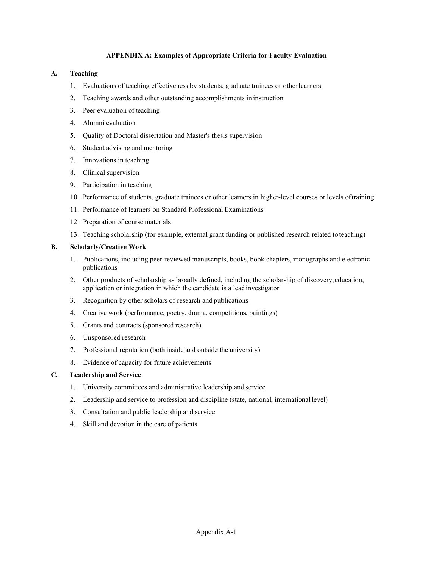#### **APPENDIX A: Examples of Appropriate Criteria for Faculty Evaluation**

#### <span id="page-24-0"></span>**A. Teaching**

- 1. Evaluations of teaching effectiveness by students, graduate trainees or otherlearners
- 2. Teaching awards and other outstanding accomplishments in instruction
- 3. Peer evaluation of teaching
- 4. Alumni evaluation
- 5. Quality of Doctoral dissertation and Master's thesis supervision
- 6. Student advising and mentoring
- 7. Innovations in teaching
- 8. Clinical supervision
- 9. Participation in teaching
- 10. Performance of students, graduate trainees or other learners in higher-level courses or levels oftraining
- 11. Performance of learners on Standard Professional Examinations
- 12. Preparation of course materials
- 13. Teaching scholarship (for example, external grant funding or published research related to teaching)

#### **B. Scholarly/Creative Work**

- 1. Publications, including peer-reviewed manuscripts, books, book chapters, monographs and electronic publications
- 2. Other products of scholarship as broadly defined, including the scholarship of discovery,education, application or integration in which the candidate is a lead investigator
- 3. Recognition by other scholars of research and publications
- 4. Creative work (performance, poetry, drama, competitions, paintings)
- 5. Grants and contracts (sponsored research)
- 6. Unsponsored research
- 7. Professional reputation (both inside and outside the university)
- 8. Evidence of capacity for future achievements

#### **C. Leadership and Service**

- 1. University committees and administrative leadership and service
- 2. Leadership and service to profession and discipline (state, national, international level)
- 3. Consultation and public leadership and service
- 4. Skill and devotion in the care of patients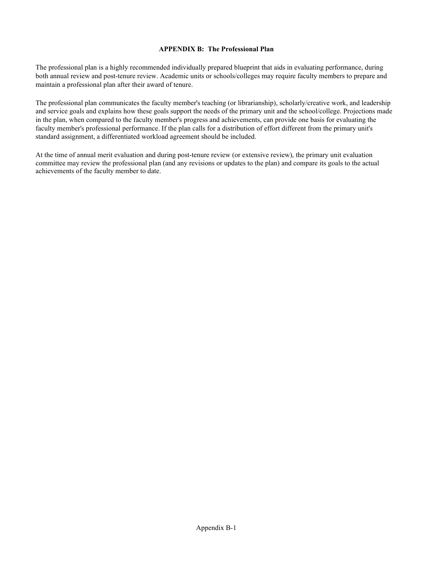#### **APPENDIX B: The Professional Plan**

<span id="page-25-0"></span>The professional plan is a highly recommended individually prepared blueprint that aids in evaluating performance, during both annual review and post-tenure review. Academic units or schools/colleges may require faculty members to prepare and maintain a professional plan after their award of tenure.

The professional plan communicates the faculty member's teaching (or librarianship), scholarly/creative work, and leadership and service goals and explains how these goals support the needs of the primary unit and the school/college. Projections made in the plan, when compared to the faculty member's progress and achievements, can provide one basis for evaluating the faculty member's professional performance. If the plan calls for a distribution of effort different from the primary unit's standard assignment, a differentiated workload agreement should be included.

At the time of annual merit evaluation and during post-tenure review (or extensive review), the primary unit evaluation committee may review the professional plan (and any revisions or updates to the plan) and compare its goals to the actual achievements of the faculty member to date.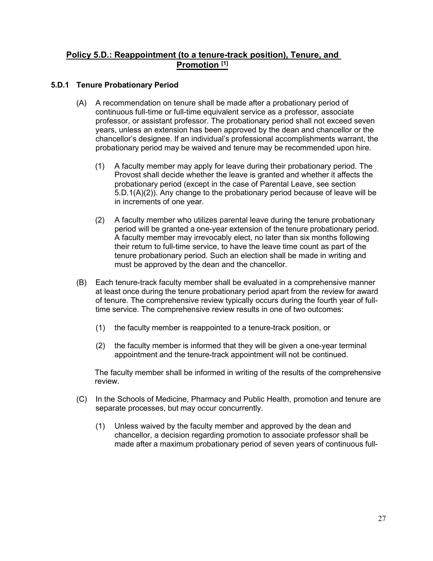# **[Policy 5.D.: Reappointment \(to a tenure-track position\), Tenure, and](https://www.cu.edu/regents/policy/5)  [Promotion \[1\]](https://www.cu.edu/regents/policy/5)**

# **5.D.1 Tenure Probationary Period**

- (A) A recommendation on tenure shall be made after a probationary period of continuous full-time or full-time equivalent service as a professor, associate professor, or assistant professor. The probationary period shall not exceed seven years, unless an extension has been approved by the dean and chancellor or the chancellor's designee. If an individual's professional accomplishments warrant, the probationary period may be waived and tenure may be recommended upon hire.
	- (1) A faculty member may apply for leave during their probationary period. The Provost shall decide whether the leave is granted and whether it affects the probationary period (except in the case of Parental Leave, see section 5.D.1(A)(2)). Any change to the probationary period because of leave will be in increments of one year.
	- (2) A faculty member who utilizes parental leave during the tenure probationary period will be granted a one-year extension of the tenure probationary period. A faculty member may irrevocably elect, no later than six months following their return to full-time service, to have the leave time count as part of the tenure probationary period. Such an election shall be made in writing and must be approved by the dean and the chancellor.
- (B) Each tenure-track faculty member shall be evaluated in a comprehensive manner at least once during the tenure probationary period apart from the review for award of tenure. The comprehensive review typically occurs during the fourth year of fulltime service. The comprehensive review results in one of two outcomes:
	- (1) the faculty member is reappointed to a tenure-track position, or
	- (2) the faculty member is informed that they will be given a one-year terminal appointment and the tenure-track appointment will not be continued.

The faculty member shall be informed in writing of the results of the comprehensive review.

- (C) In the Schools of Medicine, Pharmacy and Public Health, promotion and tenure are separate processes, but may occur concurrently.
	- (1) Unless waived by the faculty member and approved by the dean and chancellor, a decision regarding promotion to associate professor shall be made after a maximum probationary period of seven years of continuous full-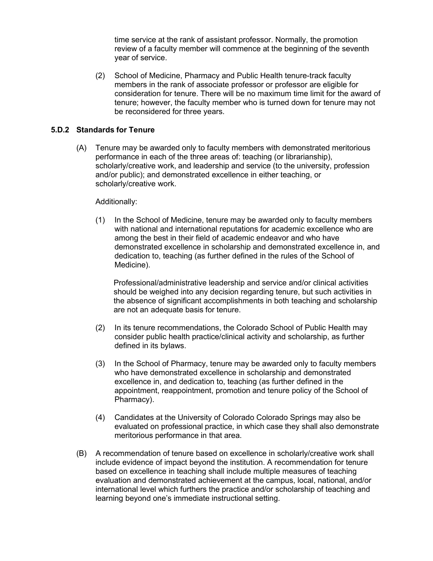time service at the rank of assistant professor. Normally, the promotion review of a faculty member will commence at the beginning of the seventh year of service.

(2) School of Medicine, Pharmacy and Public Health tenure-track faculty members in the rank of associate professor or professor are eligible for consideration for tenure. There will be no maximum time limit for the award of tenure; however, the faculty member who is turned down for tenure may not be reconsidered for three years.

# **5.D.2 Standards for Tenure**

(A) Tenure may be awarded only to faculty members with demonstrated meritorious performance in each of the three areas of: teaching (or librarianship), scholarly/creative work, and leadership and service (to the university, profession and/or public); and demonstrated excellence in either teaching, or scholarly/creative work.

# Additionally:

(1) In the School of Medicine, tenure may be awarded only to faculty members with national and international reputations for academic excellence who are among the best in their field of academic endeavor and who have demonstrated excellence in scholarship and demonstrated excellence in, and dedication to, teaching (as further defined in the rules of the School of Medicine).

Professional/administrative leadership and service and/or clinical activities should be weighed into any decision regarding tenure, but such activities in the absence of significant accomplishments in both teaching and scholarship are not an adequate basis for tenure.

- (2) In its tenure recommendations, the Colorado School of Public Health may consider public health practice/clinical activity and scholarship, as further defined in its bylaws.
- (3) In the School of Pharmacy, tenure may be awarded only to faculty members who have demonstrated excellence in scholarship and demonstrated excellence in, and dedication to, teaching (as further defined in the appointment, reappointment, promotion and tenure policy of the School of Pharmacy).
- (4) Candidates at the University of Colorado Colorado Springs may also be evaluated on professional practice, in which case they shall also demonstrate meritorious performance in that area.
- (B) A recommendation of tenure based on excellence in scholarly/creative work shall include evidence of impact beyond the institution. A recommendation for tenure based on excellence in teaching shall include multiple measures of teaching evaluation and demonstrated achievement at the campus, local, national, and/or international level which furthers the practice and/or scholarship of teaching and learning beyond one's immediate instructional setting.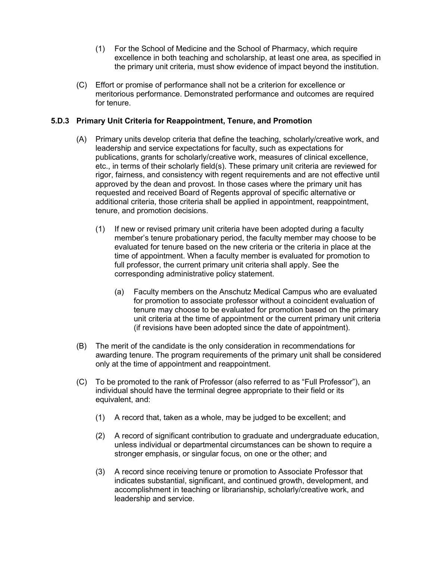- (1) For the School of Medicine and the School of Pharmacy, which require excellence in both teaching and scholarship, at least one area, as specified in the primary unit criteria, must show evidence of impact beyond the institution.
- (C) Effort or promise of performance shall not be a criterion for excellence or meritorious performance. Demonstrated performance and outcomes are required for tenure.

# **5.D.3 Primary Unit Criteria for Reappointment, Tenure, and Promotion**

- (A) Primary units develop criteria that define the teaching, scholarly/creative work, and leadership and service expectations for faculty, such as expectations for publications, grants for scholarly/creative work, measures of clinical excellence, etc., in terms of their scholarly field(s). These primary unit criteria are reviewed for rigor, fairness, and consistency with regent requirements and are not effective until approved by the dean and provost. In those cases where the primary unit has requested and received Board of Regents approval of specific alternative or additional criteria, those criteria shall be applied in appointment, reappointment, tenure, and promotion decisions.
	- (1) If new or revised primary unit criteria have been adopted during a faculty member's tenure probationary period, the faculty member may choose to be evaluated for tenure based on the new criteria or the criteria in place at the time of appointment. When a faculty member is evaluated for promotion to full professor, the current primary unit criteria shall apply. See the corresponding administrative policy statement.
		- (a) Faculty members on the Anschutz Medical Campus who are evaluated for promotion to associate professor without a coincident evaluation of tenure may choose to be evaluated for promotion based on the primary unit criteria at the time of appointment or the current primary unit criteria (if revisions have been adopted since the date of appointment).
- (B) The merit of the candidate is the only consideration in recommendations for awarding tenure. The program requirements of the primary unit shall be considered only at the time of appointment and reappointment.
- (C) To be promoted to the rank of Professor (also referred to as "Full Professor"), an individual should have the terminal degree appropriate to their field or its equivalent, and:
	- (1) A record that, taken as a whole, may be judged to be excellent; and
	- (2) A record of significant contribution to graduate and undergraduate education, unless individual or departmental circumstances can be shown to require a stronger emphasis, or singular focus, on one or the other; and
	- (3) A record since receiving tenure or promotion to Associate Professor that indicates substantial, significant, and continued growth, development, and accomplishment in teaching or librarianship, scholarly/creative work, and leadership and service.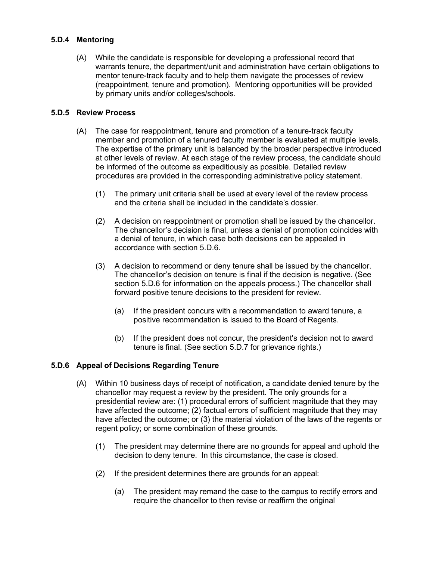# **5.D.4 Mentoring**

(A) While the candidate is responsible for developing a professional record that warrants tenure, the department/unit and administration have certain obligations to mentor tenure-track faculty and to help them navigate the processes of review (reappointment, tenure and promotion). Mentoring opportunities will be provided by primary units and/or colleges/schools.

# **5.D.5 Review Process**

- (A) The case for reappointment, tenure and promotion of a tenure-track faculty member and promotion of a tenured faculty member is evaluated at multiple levels. The expertise of the primary unit is balanced by the broader perspective introduced at other levels of review. At each stage of the review process, the candidate should be informed of the outcome as expeditiously as possible. Detailed review procedures are provided in the corresponding administrative policy statement.
	- (1) The primary unit criteria shall be used at every level of the review process and the criteria shall be included in the candidate's dossier.
	- (2) A decision on reappointment or promotion shall be issued by the chancellor. The chancellor's decision is final, unless a denial of promotion coincides with a denial of tenure, in which case both decisions can be appealed in accordance with section 5.D.6.
	- (3) A decision to recommend or deny tenure shall be issued by the chancellor. The chancellor's decision on tenure is final if the decision is negative. (See section 5.D.6 for information on the appeals process.) The chancellor shall forward positive tenure decisions to the president for review.
		- (a) If the president concurs with a recommendation to award tenure, a positive recommendation is issued to the Board of Regents.
		- (b) If the president does not concur, the president's decision not to award tenure is final. (See section 5.D.7 for grievance rights.)

# **5.D.6 Appeal of Decisions Regarding Tenure**

- (A) Within 10 business days of receipt of notification, a candidate denied tenure by the chancellor may request a review by the president. The only grounds for a presidential review are: (1) procedural errors of sufficient magnitude that they may have affected the outcome; (2) factual errors of sufficient magnitude that they may have affected the outcome; or (3) the material violation of the laws of the regents or regent policy; or some combination of these grounds.
	- (1) The president may determine there are no grounds for appeal and uphold the decision to deny tenure. In this circumstance, the case is closed.
	- (2) If the president determines there are grounds for an appeal:
		- (a) The president may remand the case to the campus to rectify errors and require the chancellor to then revise or reaffirm the original